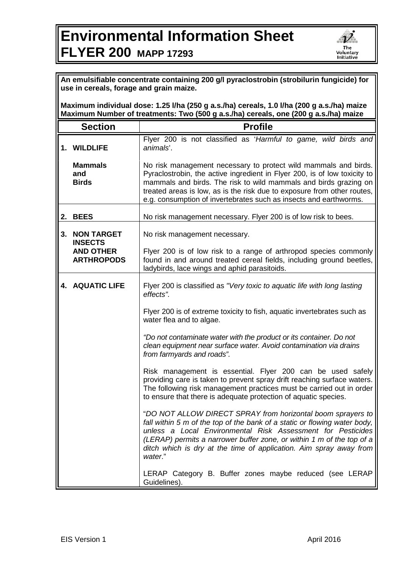## **Environmental Information Sheet FLYER 200 MAPP 17293**



| use in cereals, forage and grain maize.<br>Maximum individual dose: 1.25 I/ha (250 g a.s./ha) cereals, 1.0 I/ha (200 g a.s./ha) maize<br>Maximum Number of treatments: Two (500 g a.s./ha) cereals, one (200 g a.s./ha) maize |                                                                              |                                                                                                                                                                                                                                                                                                                                                                   |  |
|-------------------------------------------------------------------------------------------------------------------------------------------------------------------------------------------------------------------------------|------------------------------------------------------------------------------|-------------------------------------------------------------------------------------------------------------------------------------------------------------------------------------------------------------------------------------------------------------------------------------------------------------------------------------------------------------------|--|
|                                                                                                                                                                                                                               | <b>Section</b>                                                               | <b>Profile</b>                                                                                                                                                                                                                                                                                                                                                    |  |
|                                                                                                                                                                                                                               | 1. WILDLIFE                                                                  | Flyer 200 is not classified as 'Harmful to game, wild birds and<br>animals'.                                                                                                                                                                                                                                                                                      |  |
|                                                                                                                                                                                                                               | <b>Mammals</b><br>and<br><b>Birds</b>                                        | No risk management necessary to protect wild mammals and birds.<br>Pyraclostrobin, the active ingredient in Flyer 200, is of low toxicity to<br>mammals and birds. The risk to wild mammals and birds grazing on<br>treated areas is low, as is the risk due to exposure from other routes,<br>e.g. consumption of invertebrates such as insects and earthworms.  |  |
|                                                                                                                                                                                                                               | 2. BEES                                                                      | No risk management necessary. Flyer 200 is of low risk to bees.                                                                                                                                                                                                                                                                                                   |  |
| 3.                                                                                                                                                                                                                            | <b>NON TARGET</b><br><b>INSECTS</b><br><b>AND OTHER</b><br><b>ARTHROPODS</b> | No risk management necessary.<br>Flyer 200 is of low risk to a range of arthropod species commonly<br>found in and around treated cereal fields, including ground beetles,                                                                                                                                                                                        |  |
|                                                                                                                                                                                                                               |                                                                              | ladybirds, lace wings and aphid parasitoids.                                                                                                                                                                                                                                                                                                                      |  |
|                                                                                                                                                                                                                               | <b>4. AQUATIC LIFE</b>                                                       | Flyer 200 is classified as "Very toxic to aquatic life with long lasting<br>effects".                                                                                                                                                                                                                                                                             |  |
|                                                                                                                                                                                                                               |                                                                              | Flyer 200 is of extreme toxicity to fish, aquatic invertebrates such as<br>water flea and to algae.                                                                                                                                                                                                                                                               |  |
|                                                                                                                                                                                                                               |                                                                              | "Do not contaminate water with the product or its container. Do not<br>clean equipment near surface water. Avoid contamination via drains<br>from farmyards and roads".                                                                                                                                                                                           |  |
|                                                                                                                                                                                                                               |                                                                              | Risk management is essential. Flyer 200 can be used safely<br>providing care is taken to prevent spray drift reaching surface waters.<br>The following risk management practices must be carried out in order<br>to ensure that there is adequate protection of aquatic species.                                                                                  |  |
|                                                                                                                                                                                                                               |                                                                              | "DO NOT ALLOW DIRECT SPRAY from horizontal boom sprayers to<br>fall within 5 m of the top of the bank of a static or flowing water body,<br>unless a Local Environmental Risk Assessment for Pesticides<br>(LERAP) permits a narrower buffer zone, or within 1 m of the top of a<br>ditch which is dry at the time of application. Aim spray away from<br>water." |  |
|                                                                                                                                                                                                                               |                                                                              | LERAP Category B. Buffer zones maybe reduced (see LERAP<br>Guidelines).                                                                                                                                                                                                                                                                                           |  |

Б